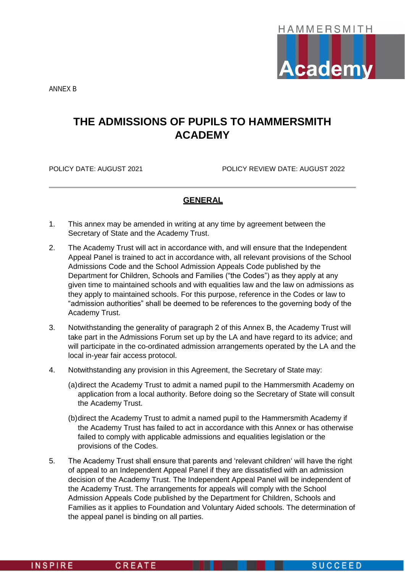

ANNEX B

# **THE ADMISSIONS OF PUPILS TO HAMMERSMITH ACADEMY**

POLICY DATE: AUGUST 2021 POLICY REVIEW DATE: AUGUST 2022

# **GENERAL**

- 1. This annex may be amended in writing at any time by agreement between the Secretary of State and the Academy Trust.
- 2. The Academy Trust will act in accordance with, and will ensure that the Independent Appeal Panel is trained to act in accordance with, all relevant provisions of the School Admissions Code and the School Admission Appeals Code published by the Department for Children, Schools and Families ("the Codes") as they apply at any given time to maintained schools and with equalities law and the law on admissions as they apply to maintained schools. For this purpose, reference in the Codes or law to "admission authorities" shall be deemed to be references to the governing body of the Academy Trust.
- 3. Notwithstanding the generality of paragraph 2 of this Annex B, the Academy Trust will take part in the Admissions Forum set up by the LA and have regard to its advice; and will participate in the co-ordinated admission arrangements operated by the LA and the local in-year fair access protocol.
- 4. Notwithstanding any provision in this Agreement, the Secretary of State may:
	- (a)direct the Academy Trust to admit a named pupil to the Hammersmith Academy on application from a local authority. Before doing so the Secretary of State will consult the Academy Trust.
	- (b)direct the Academy Trust to admit a named pupil to the Hammersmith Academy if the Academy Trust has failed to act in accordance with this Annex or has otherwise failed to comply with applicable admissions and equalities legislation or the provisions of the Codes.
- 5. The Academy Trust shall ensure that parents and 'relevant children' will have the right of appeal to an Independent Appeal Panel if they are dissatisfied with an admission decision of the Academy Trust. The Independent Appeal Panel will be independent of the Academy Trust. The arrangements for appeals will comply with the School Admission Appeals Code published by the Department for Children, Schools and Families as it applies to Foundation and Voluntary Aided schools. The determination of the appeal panel is binding on all parties.

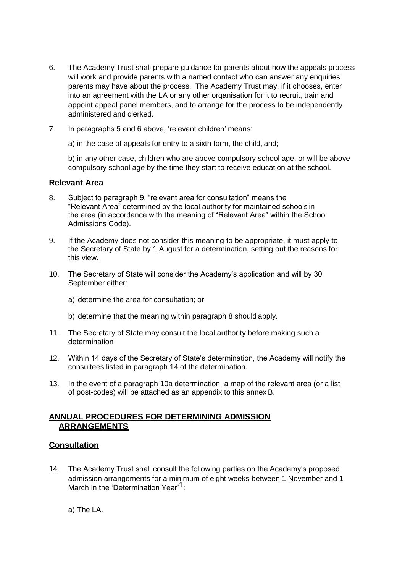- 6. The Academy Trust shall prepare guidance for parents about how the appeals process will work and provide parents with a named contact who can answer any enquiries parents may have about the process. The Academy Trust may, if it chooses, enter into an agreement with the LA or any other organisation for it to recruit, train and appoint appeal panel members, and to arrange for the process to be independently administered and clerked.
- 7. In paragraphs 5 and 6 above, 'relevant children' means:

a) in the case of appeals for entry to a sixth form, the child, and;

b) in any other case, children who are above compulsory school age, or will be above compulsory school age by the time they start to receive education at the school.

# **Relevant Area**

- 8. Subject to paragraph 9, "relevant area for consultation" means the "Relevant Area" determined by the local authority for maintained schools in the area (in accordance with the meaning of "Relevant Area" within the School Admissions Code).
- 9. If the Academy does not consider this meaning to be appropriate, it must apply to the Secretary of State by 1 August for a determination, setting out the reasons for this view.
- 10. The Secretary of State will consider the Academy's application and will by 30 September either:
	- a) determine the area for consultation; or
	- b) determine that the meaning within paragraph 8 should apply.
- 11. The Secretary of State may consult the local authority before making such a determination
- 12. Within 14 days of the Secretary of State's determination, the Academy will notify the consultees listed in paragraph 14 of the determination.
- 13. In the event of a paragraph 10a determination, a map of the relevant area (or a list of post-codes) will be attached as an appendix to this annex B.

# **ANNUAL PROCEDURES FOR DETERMINING ADMISSION ARRANGEMENTS**

# **Consultation**

14. The Academy Trust shall consult the following parties on the Academy's proposed admission arrangements for a minimum of eight weeks between 1 November and 1 March in the 'Determination Year'<sup>1.</sup>

a) The LA.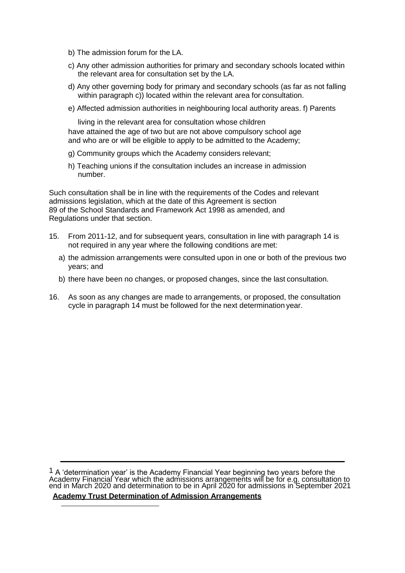- b) The admission forum for the LA.
- c) Any other admission authorities for primary and secondary schools located within the relevant area for consultation set by the LA.
- d) Any other governing body for primary and secondary schools (as far as not falling within paragraph c)) located within the relevant area for consultation.
- e) Affected admission authorities in neighbouring local authority areas. f) Parents

living in the relevant area for consultation whose children have attained the age of two but are not above compulsory school age and who are or will be eligible to apply to be admitted to the Academy;

- g) Community groups which the Academy considers relevant;
- h) Teaching unions if the consultation includes an increase in admission number.

Such consultation shall be in line with the requirements of the Codes and relevant admissions legislation, which at the date of this Agreement is section 89 of the School Standards and Framework Act 1998 as amended, and Regulations under that section.

- 15. From 2011-12, and for subsequent years, consultation in line with paragraph 14 is not required in any year where the following conditions are met:
	- a) the admission arrangements were consulted upon in one or both of the previous two years; and
	- b) there have been no changes, or proposed changes, since the last consultation.
- 16. As soon as any changes are made to arrangements, or proposed, the consultation cycle in paragraph 14 must be followed for the next determination year.

<sup>1</sup> A 'determination year' is the Academy Financial Year beginning two years before the Academy Financial Year which the admissions arrangements will be for e.g. consultation to end in March 2020 and determination to be in April 2020 for admissions in September 2021

**Academy Trust Determination of Admission Arrangements**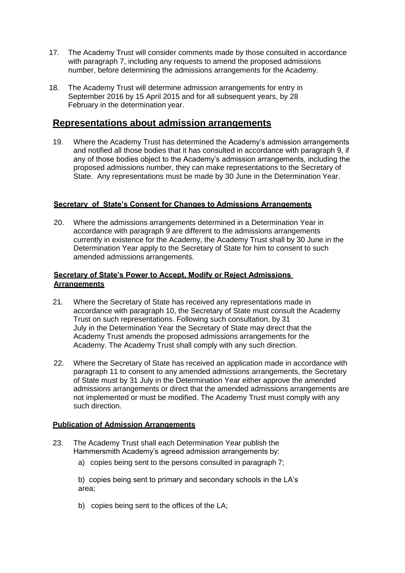- 17. The Academy Trust will consider comments made by those consulted in accordance with paragraph 7, including any requests to amend the proposed admissions number, before determining the admissions arrangements for the Academy.
- 18. The Academy Trust will determine admission arrangements for entry in September 2016 by 15 April 2015 and for all subsequent years, by 28 February in the determination year.

# **Representations about admission arrangements**

19. Where the Academy Trust has determined the Academy's admission arrangements and notified all those bodies that it has consulted in accordance with paragraph 9, if any of those bodies object to the Academy's admission arrangements, including the proposed admissions number, they can make representations to the Secretary of State. Any representations must be made by 30 June in the Determination Year.

## **Secretary of State's Consent for Changes to Admissions Arrangements**

20. Where the admissions arrangements determined in a Determination Year in accordance with paragraph 9 are different to the admissions arrangements currently in existence for the Academy, the Academy Trust shall by 30 June in the Determination Year apply to the Secretary of State for him to consent to such amended admissions arrangements.

## **Secretary of State's Power to Accept, Modify or Reject Admissions Arrangements**

- 21. Where the Secretary of State has received any representations made in accordance with paragraph 10, the Secretary of State must consult the Academy Trust on such representations. Following such consultation, by 31 July in the Determination Year the Secretary of State may direct that the Academy Trust amends the proposed admissions arrangements for the Academy. The Academy Trust shall comply with any such direction.
- 22. Where the Secretary of State has received an application made in accordance with paragraph 11 to consent to any amended admissions arrangements, the Secretary of State must by 31 July in the Determination Year either approve the amended admissions arrangements or direct that the amended admissions arrangements are not implemented or must be modified. The Academy Trust must comply with any such direction.

## **Publication of Admission Arrangements**

- 23. The Academy Trust shall each Determination Year publish the Hammersmith Academy's agreed admission arrangements by:
	- a) copies being sent to the persons consulted in paragraph 7;

b) copies being sent to primary and secondary schools in the LA's area;

b) copies being sent to the offices of the LA;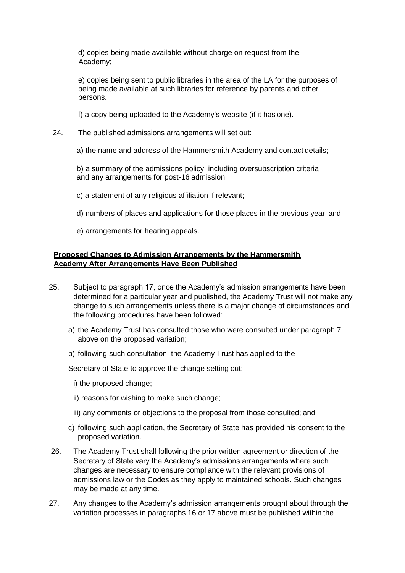d) copies being made available without charge on request from the Academy;

e) copies being sent to public libraries in the area of the LA for the purposes of being made available at such libraries for reference by parents and other persons.

f) a copy being uploaded to the Academy's website (if it has one).

- 24. The published admissions arrangements will set out:
	- a) the name and address of the Hammersmith Academy and contact details;

b) a summary of the admissions policy, including oversubscription criteria and any arrangements for post-16 admission;

- c) a statement of any religious affiliation if relevant;
- d) numbers of places and applications for those places in the previous year; and
- e) arrangements for hearing appeals.

## **Proposed Changes to Admission Arrangements by the Hammersmith Academy After Arrangements Have Been Published**

- 25. Subject to paragraph 17, once the Academy's admission arrangements have been determined for a particular year and published, the Academy Trust will not make any change to such arrangements unless there is a major change of circumstances and the following procedures have been followed:
	- a) the Academy Trust has consulted those who were consulted under paragraph 7 above on the proposed variation;
	- b) following such consultation, the Academy Trust has applied to the

Secretary of State to approve the change setting out:

- i) the proposed change;
- ii) reasons for wishing to make such change;
- iii) any comments or objections to the proposal from those consulted; and
- c) following such application, the Secretary of State has provided his consent to the proposed variation.
- 26. The Academy Trust shall following the prior written agreement or direction of the Secretary of State vary the Academy's admissions arrangements where such changes are necessary to ensure compliance with the relevant provisions of admissions law or the Codes as they apply to maintained schools. Such changes may be made at any time.
- 27. Any changes to the Academy's admission arrangements brought about through the variation processes in paragraphs 16 or 17 above must be published within the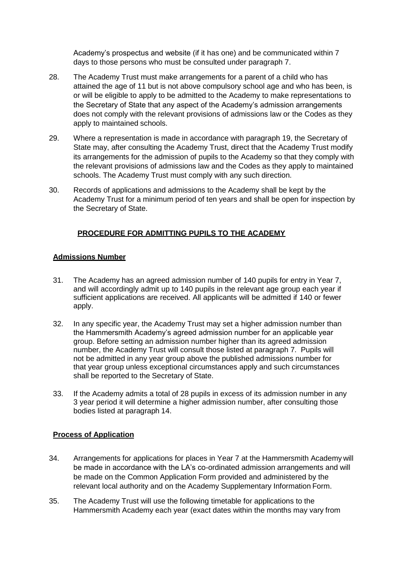Academy's prospectus and website (if it has one) and be communicated within 7 days to those persons who must be consulted under paragraph 7.

- 28. The Academy Trust must make arrangements for a parent of a child who has attained the age of 11 but is not above compulsory school age and who has been, is or will be eligible to apply to be admitted to the Academy to make representations to the Secretary of State that any aspect of the Academy's admission arrangements does not comply with the relevant provisions of admissions law or the Codes as they apply to maintained schools.
- 29. Where a representation is made in accordance with paragraph 19, the Secretary of State may, after consulting the Academy Trust, direct that the Academy Trust modify its arrangements for the admission of pupils to the Academy so that they comply with the relevant provisions of admissions law and the Codes as they apply to maintained schools. The Academy Trust must comply with any such direction.
- 30. Records of applications and admissions to the Academy shall be kept by the Academy Trust for a minimum period of ten years and shall be open for inspection by the Secretary of State.

## **PROCEDURE FOR ADMITTING PUPILS TO THE ACADEMY**

### **Admissions Number**

- 31. The Academy has an agreed admission number of 140 pupils for entry in Year 7, and will accordingly admit up to 140 pupils in the relevant age group each year if sufficient applications are received. All applicants will be admitted if 140 or fewer apply.
- 32. In any specific year, the Academy Trust may set a higher admission number than the Hammersmith Academy's agreed admission number for an applicable year group. Before setting an admission number higher than its agreed admission number, the Academy Trust will consult those listed at paragraph 7. Pupils will not be admitted in any year group above the published admissions number for that year group unless exceptional circumstances apply and such circumstances shall be reported to the Secretary of State.
- 33. If the Academy admits a total of 28 pupils in excess of its admission number in any 3 year period it will determine a higher admission number, after consulting those bodies listed at paragraph 14.

## **Process of Application**

- 34. Arrangements for applications for places in Year 7 at the Hammersmith Academy will be made in accordance with the LA's co-ordinated admission arrangements and will be made on the Common Application Form provided and administered by the relevant local authority and on the Academy Supplementary Information Form.
- 35. The Academy Trust will use the following timetable for applications to the Hammersmith Academy each year (exact dates within the months may vary from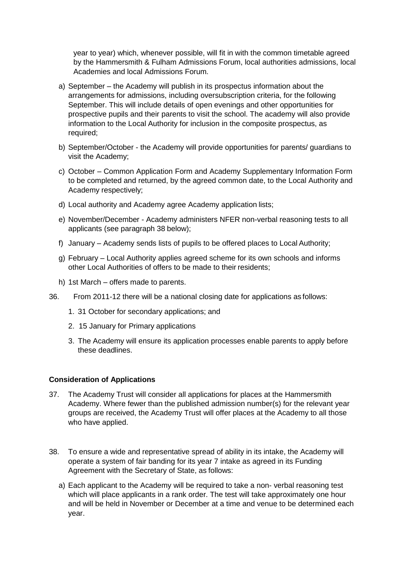year to year) which, whenever possible, will fit in with the common timetable agreed by the Hammersmith & Fulham Admissions Forum, local authorities admissions, local Academies and local Admissions Forum.

- a) September the Academy will publish in its prospectus information about the arrangements for admissions, including oversubscription criteria, for the following September. This will include details of open evenings and other opportunities for prospective pupils and their parents to visit the school. The academy will also provide information to the Local Authority for inclusion in the composite prospectus, as required;
- b) September/October the Academy will provide opportunities for parents/ guardians to visit the Academy;
- c) October Common Application Form and Academy Supplementary Information Form to be completed and returned, by the agreed common date, to the Local Authority and Academy respectively;
- d) Local authority and Academy agree Academy application lists;
- e) November/December Academy administers NFER non-verbal reasoning tests to all applicants (see paragraph 38 below);
- f) January Academy sends lists of pupils to be offered places to Local Authority;
- g) February Local Authority applies agreed scheme for its own schools and informs other Local Authorities of offers to be made to their residents;
- h) 1st March offers made to parents.
- 36. From 2011-12 there will be a national closing date for applications as follows:
	- 1. 31 October for secondary applications; and
	- 2. 15 January for Primary applications
	- 3. The Academy will ensure its application processes enable parents to apply before these deadlines.

## **Consideration of Applications**

- 37. The Academy Trust will consider all applications for places at the Hammersmith Academy. Where fewer than the published admission number(s) for the relevant year groups are received, the Academy Trust will offer places at the Academy to all those who have applied.
- 38. To ensure a wide and representative spread of ability in its intake, the Academy will operate a system of fair banding for its year 7 intake as agreed in its Funding Agreement with the Secretary of State, as follows:
	- a) Each applicant to the Academy will be required to take a non- verbal reasoning test which will place applicants in a rank order. The test will take approximately one hour and will be held in November or December at a time and venue to be determined each year.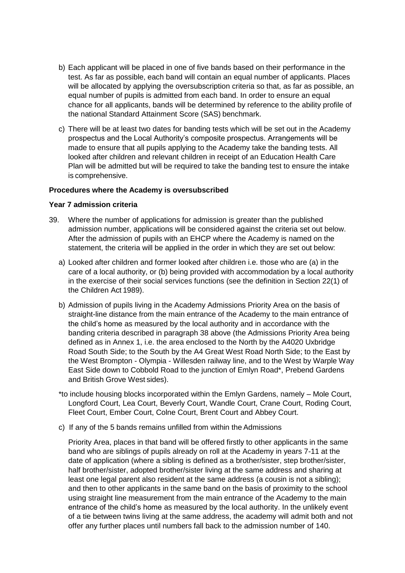- b) Each applicant will be placed in one of five bands based on their performance in the test. As far as possible, each band will contain an equal number of applicants. Places will be allocated by applying the oversubscription criteria so that, as far as possible, an equal number of pupils is admitted from each band. In order to ensure an equal chance for all applicants, bands will be determined by reference to the ability profile of the national Standard Attainment Score (SAS) benchmark.
- c) There will be at least two dates for banding tests which will be set out in the Academy prospectus and the Local Authority's composite prospectus. Arrangements will be made to ensure that all pupils applying to the Academy take the banding tests. All looked after children and relevant children in receipt of an Education Health Care Plan will be admitted but will be required to take the banding test to ensure the intake is comprehensive.

### **Procedures where the Academy is oversubscribed**

#### **Year 7 admission criteria**

- 39. Where the number of applications for admission is greater than the published admission number, applications will be considered against the criteria set out below. After the admission of pupils with an EHCP where the Academy is named on the statement, the criteria will be applied in the order in which they are set out below:
	- a) Looked after children and former looked after children i.e. those who are (a) in the care of a local authority, or (b) being provided with accommodation by a local authority in the exercise of their social services functions (see the definition in Section 22(1) of the Children Act 1989).
	- b) Admission of pupils living in the Academy Admissions Priority Area on the basis of straight-line distance from the main entrance of the Academy to the main entrance of the child's home as measured by the local authority and in accordance with the banding criteria described in paragraph 38 above (the Admissions Priority Area being defined as in Annex 1, i.e. the area enclosed to the North by the A4020 Uxbridge Road South Side; to the South by the A4 Great West Road North Side; to the East by the West Brompton - Olympia - Willesden railway line, and to the West by Warple Way East Side down to Cobbold Road to the junction of Emlyn Road\*, Prebend Gardens and British Grove West sides).
	- \*to include housing blocks incorporated within the Emlyn Gardens, namely Mole Court, Longford Court, Lea Court, Beverly Court, Wandle Court, Crane Court, Roding Court, Fleet Court, Ember Court, Colne Court, Brent Court and Abbey Court.
	- c) If any of the 5 bands remains unfilled from within the Admissions

Priority Area, places in that band will be offered firstly to other applicants in the same band who are siblings of pupils already on roll at the Academy in years 7-11 at the date of application (where a sibling is defined as a brother/sister, step brother/sister, half brother/sister, adopted brother/sister living at the same address and sharing at least one legal parent also resident at the same address (a cousin is not a sibling); and then to other applicants in the same band on the basis of proximity to the school using straight line measurement from the main entrance of the Academy to the main entrance of the child's home as measured by the local authority. In the unlikely event of a tie between twins living at the same address, the academy will admit both and not offer any further places until numbers fall back to the admission number of 140.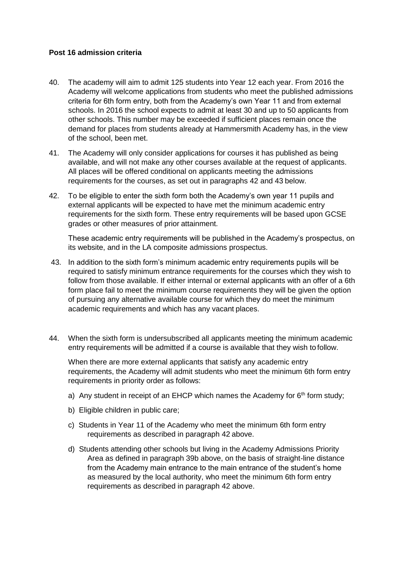## **Post 16 admission criteria**

- 40. The academy will aim to admit 125 students into Year 12 each year. From 2016 the Academy will welcome applications from students who meet the published admissions criteria for 6th form entry, both from the Academy's own Year 11 and from external schools. In 2016 the school expects to admit at least 30 and up to 50 applicants from other schools. This number may be exceeded if sufficient places remain once the demand for places from students already at Hammersmith Academy has, in the view of the school, been met.
- 41. The Academy will only consider applications for courses it has published as being available, and will not make any other courses available at the request of applicants. All places will be offered conditional on applicants meeting the admissions requirements for the courses, as set out in paragraphs 42 and 43 below.
- 42. To be eligible to enter the sixth form both the Academy's own year 11 pupils and external applicants will be expected to have met the minimum academic entry requirements for the sixth form. These entry requirements will be based upon GCSE grades or other measures of prior attainment.

These academic entry requirements will be published in the Academy's prospectus, on its website, and in the LA composite admissions prospectus.

- 43. In addition to the sixth form's minimum academic entry requirements pupils will be required to satisfy minimum entrance requirements for the courses which they wish to follow from those available. If either internal or external applicants with an offer of a 6th form place fail to meet the minimum course requirements they will be given the option of pursuing any alternative available course for which they do meet the minimum academic requirements and which has any vacant places.
- 44. When the sixth form is undersubscribed all applicants meeting the minimum academic entry requirements will be admitted if a course is available that they wish to follow.

When there are more external applicants that satisfy any academic entry requirements, the Academy will admit students who meet the minimum 6th form entry requirements in priority order as follows:

- a) Any student in receipt of an EHCP which names the Academy for  $6<sup>th</sup>$  form study;
- b) Eligible children in public care;
- c) Students in Year 11 of the Academy who meet the minimum 6th form entry requirements as described in paragraph 42 above.
- d) Students attending other schools but living in the Academy Admissions Priority Area as defined in paragraph 39b above, on the basis of straight-line distance from the Academy main entrance to the main entrance of the student's home as measured by the local authority, who meet the minimum 6th form entry requirements as described in paragraph 42 above.